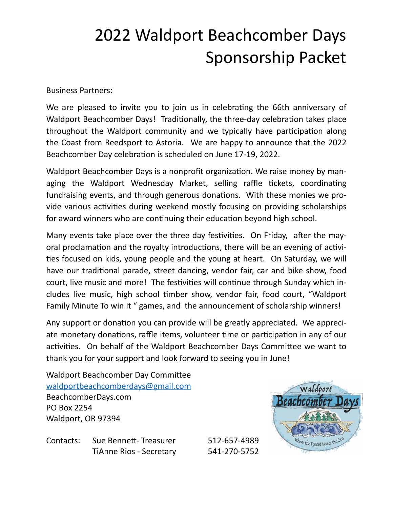## 2022 Waldport Beachcomber Days Sponsorship Packet

**Business Partners:** 

We are pleased to invite you to join us in celebrating the 66th anniversary of Waldport Beachcomber Days! Traditionally, the three-day celebration takes place throughout the Waldport community and we typically have participation along the Coast from Reedsport to Astoria. We are happy to announce that the 2022 Beachcomber Day celebration is scheduled on June 17-19, 2022.

Waldport Beachcomber Days is a nonprofit organization. We raise money by managing the Waldport Wednesday Market, selling raffle tickets, coordinating fundraising events, and through generous donations. With these monies we provide various activities during weekend mostly focusing on providing scholarships for award winners who are continuing their education beyond high school.

Many events take place over the three day festivities. On Friday, after the mayoral proclamation and the royalty introductions, there will be an evening of activities focused on kids, young people and the young at heart. On Saturday, we will have our traditional parade, street dancing, vendor fair, car and bike show, food court, live music and more! The festivities will continue through Sunday which includes live music, high school timber show, vendor fair, food court, "Waldport Family Minute To win It " games, and the announcement of scholarship winners!

Any support or donation you can provide will be greatly appreciated. We appreciate monetary donations, raffle items, volunteer time or participation in any of our activities. On behalf of the Waldport Beachcomber Days Committee we want to thank you for your support and look forward to seeing you in June!

Waldport Beachcomber Day Committee [waldportbeachcomberdays@gmail.com](mailto:waldportbeachcomberdays@gmail.com) BeachcomberDays.com PO Box 2254 Waldport, OR 97394

Contacts: Sue Bennett- Treasurer 512-657-4989 TiAnne Rios - Secretary 541-270-5752